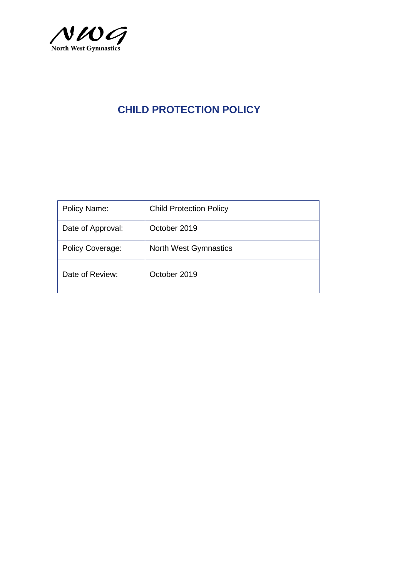

| Policy Name:            | <b>Child Protection Policy</b> |
|-------------------------|--------------------------------|
| Date of Approval:       | October 2019                   |
| <b>Policy Coverage:</b> | <b>North West Gymnastics</b>   |
| Date of Review:         | October 2019                   |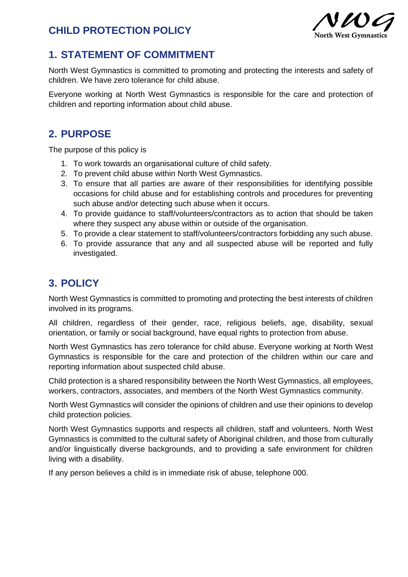

## **1. STATEMENT OF COMMITMENT**

North West Gymnastics is committed to promoting and protecting the interests and safety of children. We have zero tolerance for child abuse.

Everyone working at North West Gymnastics is responsible for the care and protection of children and reporting information about child abuse.

# **2. PURPOSE**

The purpose of this policy is

- 1. To work towards an organisational culture of child safety.
- 2. To prevent child abuse within North West Gymnastics.
- 3. To ensure that all parties are aware of their responsibilities for identifying possible occasions for child abuse and for establishing controls and procedures for preventing such abuse and/or detecting such abuse when it occurs.
- 4. To provide guidance to staff/volunteers/contractors as to action that should be taken where they suspect any abuse within or outside of the organisation.
- 5. To provide a clear statement to staff/volunteers/contractors forbidding any such abuse.
- 6. To provide assurance that any and all suspected abuse will be reported and fully investigated.

# **3. POLICY**

North West Gymnastics is committed to promoting and protecting the best interests of children involved in its programs.

All children, regardless of their gender, race, religious beliefs, age, disability, sexual orientation, or family or social background, have equal rights to protection from abuse.

North West Gymnastics has zero tolerance for child abuse. Everyone working at North West Gymnastics is responsible for the care and protection of the children within our care and reporting information about suspected child abuse.

Child protection is a shared responsibility between the North West Gymnastics, all employees, workers, contractors, associates, and members of the North West Gymnastics community.

North West Gymnastics will consider the opinions of children and use their opinions to develop child protection policies.

North West Gymnastics supports and respects all children, staff and volunteers. North West Gymnastics is committed to the cultural safety of Aboriginal children, and those from culturally and/or linguistically diverse backgrounds, and to providing a safe environment for children living with a disability.

If any person believes a child is in immediate risk of abuse, telephone 000.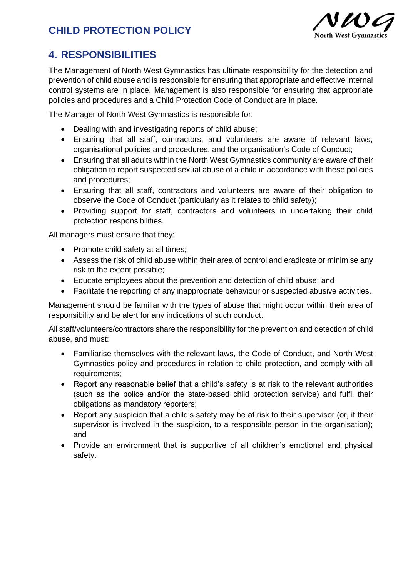

# **4. RESPONSIBILITIES**

The Management of North West Gymnastics has ultimate responsibility for the detection and prevention of child abuse and is responsible for ensuring that appropriate and effective internal control systems are in place. Management is also responsible for ensuring that appropriate policies and procedures and a Child Protection Code of Conduct are in place.

The Manager of North West Gymnastics is responsible for:

- Dealing with and investigating reports of child abuse;
- Ensuring that all staff, contractors, and volunteers are aware of relevant laws, organisational policies and procedures, and the organisation's Code of Conduct;
- Ensuring that all adults within the North West Gymnastics community are aware of their obligation to report suspected sexual abuse of a child in accordance with these policies and procedures;
- Ensuring that all staff, contractors and volunteers are aware of their obligation to observe the Code of Conduct (particularly as it relates to child safety);
- Providing support for staff, contractors and volunteers in undertaking their child protection responsibilities.

All managers must ensure that they:

- Promote child safety at all times;
- Assess the risk of child abuse within their area of control and eradicate or minimise any risk to the extent possible;
- Educate employees about the prevention and detection of child abuse; and
- Facilitate the reporting of any inappropriate behaviour or suspected abusive activities.

Management should be familiar with the types of abuse that might occur within their area of responsibility and be alert for any indications of such conduct.

All staff/volunteers/contractors share the responsibility for the prevention and detection of child abuse, and must:

- Familiarise themselves with the relevant laws, the Code of Conduct, and North West Gymnastics policy and procedures in relation to child protection, and comply with all requirements;
- Report any reasonable belief that a child's safety is at risk to the relevant authorities (such as the police and/or the state-based child protection service) and fulfil their obligations as mandatory reporters;
- Report any suspicion that a child's safety may be at risk to their supervisor (or, if their supervisor is involved in the suspicion, to a responsible person in the organisation); and
- Provide an environment that is supportive of all children's emotional and physical safety.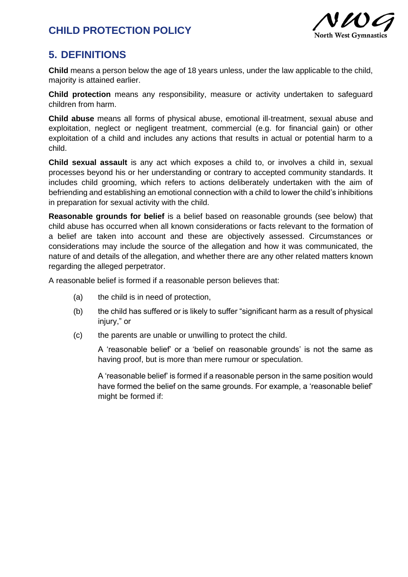

### **5. DEFINITIONS**

**Child** means a person below the age of 18 years unless, under the law applicable to the child, majority is attained earlier.

**Child protection** means any responsibility, measure or activity undertaken to safeguard children from harm.

**Child abuse** means all forms of physical abuse, emotional ill-treatment, sexual abuse and exploitation, neglect or negligent treatment, commercial (e.g. for financial gain) or other exploitation of a child and includes any actions that results in actual or potential harm to a child.

**Child sexual assault** is any act which exposes a child to, or involves a child in, sexual processes beyond his or her understanding or contrary to accepted community standards. It includes child grooming, which refers to actions deliberately undertaken with the aim of befriending and establishing an emotional connection with a child to lower the child's inhibitions in preparation for sexual activity with the child.

**Reasonable grounds for belief** is a belief based on reasonable grounds (see below) that child abuse has occurred when all known considerations or facts relevant to the formation of a belief are taken into account and these are objectively assessed. Circumstances or considerations may include the source of the allegation and how it was communicated, the nature of and details of the allegation, and whether there are any other related matters known regarding the alleged perpetrator.

A reasonable belief is formed if a reasonable person believes that:

- (a) the child is in need of protection,
- (b) the child has suffered or is likely to suffer "significant harm as a result of physical injury," or
- (c) the parents are unable or unwilling to protect the child.

A 'reasonable belief' or a 'belief on reasonable grounds' is not the same as having proof, but is more than mere rumour or speculation.

A 'reasonable belief' is formed if a reasonable person in the same position would have formed the belief on the same grounds. For example, a 'reasonable belief' might be formed if: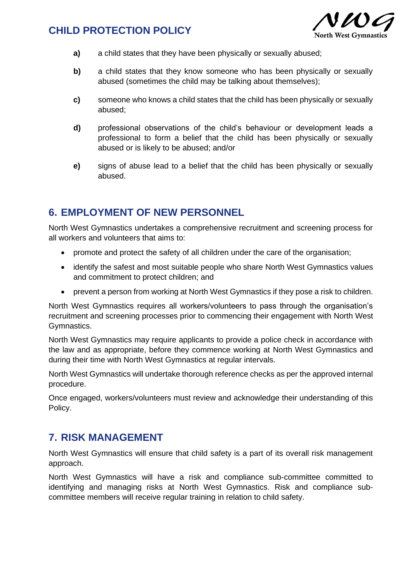

- **a)** a child states that they have been physically or sexually abused;
- **b)** a child states that they know someone who has been physically or sexually abused (sometimes the child may be talking about themselves);
- **c)** someone who knows a child states that the child has been physically or sexually abused;
- **d)** professional observations of the child's behaviour or development leads a professional to form a belief that the child has been physically or sexually abused or is likely to be abused; and/or
- **e)** signs of abuse lead to a belief that the child has been physically or sexually abused.

#### **6. EMPLOYMENT OF NEW PERSONNEL**

North West Gymnastics undertakes a comprehensive recruitment and screening process for all workers and volunteers that aims to:

- promote and protect the safety of all children under the care of the organisation;
- identify the safest and most suitable people who share North West Gymnastics values and commitment to protect children; and
- prevent a person from working at North West Gymnastics if they pose a risk to children.

North West Gymnastics requires all workers/volunteers to pass through the organisation's recruitment and screening processes prior to commencing their engagement with North West Gymnastics.

North West Gymnastics may require applicants to provide a police check in accordance with the law and as appropriate, before they commence working at North West Gymnastics and during their time with North West Gymnastics at regular intervals.

North West Gymnastics will undertake thorough reference checks as per the approved internal procedure.

Once engaged, workers/volunteers must review and acknowledge their understanding of this Policy.

#### **7. RISK MANAGEMENT**

North West Gymnastics will ensure that child safety is a part of its overall risk management approach.

North West Gymnastics will have a risk and compliance sub-committee committed to identifying and managing risks at North West Gymnastics. Risk and compliance subcommittee members will receive regular training in relation to child safety.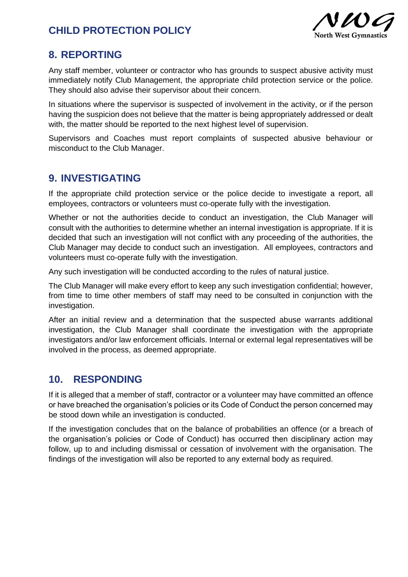

### **8. REPORTING**

Any staff member, volunteer or contractor who has grounds to suspect abusive activity must immediately notify Club Management, the appropriate child protection service or the police. They should also advise their supervisor about their concern.

In situations where the supervisor is suspected of involvement in the activity, or if the person having the suspicion does not believe that the matter is being appropriately addressed or dealt with, the matter should be reported to the next highest level of supervision.

Supervisors and Coaches must report complaints of suspected abusive behaviour or misconduct to the Club Manager.

### **9. INVESTIGATING**

If the appropriate child protection service or the police decide to investigate a report, all employees, contractors or volunteers must co-operate fully with the investigation.

Whether or not the authorities decide to conduct an investigation, the Club Manager will consult with the authorities to determine whether an internal investigation is appropriate. If it is decided that such an investigation will not conflict with any proceeding of the authorities, the Club Manager may decide to conduct such an investigation. All employees, contractors and volunteers must co-operate fully with the investigation.

Any such investigation will be conducted according to the rules of natural justice.

The Club Manager will make every effort to keep any such investigation confidential; however, from time to time other members of staff may need to be consulted in conjunction with the investigation.

After an initial review and a determination that the suspected abuse warrants additional investigation, the Club Manager shall coordinate the investigation with the appropriate investigators and/or law enforcement officials. Internal or external legal representatives will be involved in the process, as deemed appropriate.

#### **10. RESPONDING**

If it is alleged that a member of staff, contractor or a volunteer may have committed an offence or have breached the organisation's policies or its Code of Conduct the person concerned may be stood down while an investigation is conducted.

If the investigation concludes that on the balance of probabilities an offence (or a breach of the organisation's policies or Code of Conduct) has occurred then disciplinary action may follow, up to and including dismissal or cessation of involvement with the organisation. The findings of the investigation will also be reported to any external body as required.